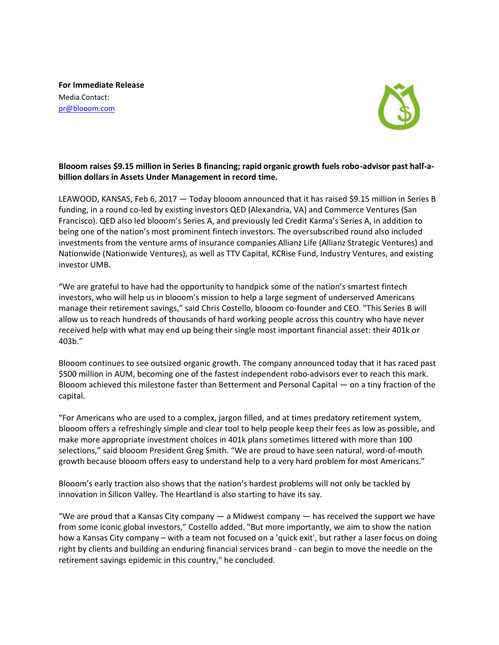**For Immediate Release**  Media Contact: [pr@blooom.com](mailto:pr@blooom.com)



## **Blooom raises \$9.15 million in Series B financing; rapid organic growth fuels robo-advisor past half-abillion dollars in Assets Under Management in record time.**

LEAWOOD, KANSAS, Feb 6, 2017 — Today blooom announced that it has raised \$9.15 million in Series B funding, in a round co-led by existing investors QED (Alexandria, VA) and Commerce Ventures (San Francisco). QED also led blooom's Series A, and previously led Credit Karma's Series A, in addition to being one of the nation's most prominent fintech investors. The oversubscribed round also included investments from the venture arms of insurance companies Allianz Life (Allianz Strategic Ventures) and Nationwide (Nationwide Ventures), as well as TTV Capital, KCRise Fund, Industry Ventures, and existing investor UMB.

"We are grateful to have had the opportunity to handpick some of the nation's smartest fintech investors, who will help us in blooom's mission to help a large segment of underserved Americans manage their retirement savings," said Chris Costello, blooom co-founder and CEO. "This Series B will allow us to reach hundreds of thousands of hard working people across this country who have never received help with what may end up being their single most important financial asset: their 401k or 403b."

Blooom continues to see outsized organic growth. The company announced today that it has raced past \$500 million in AUM, becoming one of the fastest independent robo-advisors ever to reach this mark. Blooom achieved this milestone faster than Betterment and Personal Capital — on a tiny fraction of the capital.

"For Americans who are used to a complex, jargon filled, and at times predatory retirement system, blooom offers a refreshingly simple and clear tool to help people keep their fees as low as possible, and make more appropriate investment choices in 401k plans sometimes littered with more than 100 selections," said blooom President Greg Smith. "We are proud to have seen natural, word-of-mouth growth because blooom offers easy to understand help to a very hard problem for most Americans."

Blooom's early traction also shows that the nation's hardest problems will not only be tackled by innovation in Silicon Valley. The Heartland is also starting to have its say.

"We are proud that a Kansas City company — a Midwest company — has received the support we have from some iconic global investors," Costello added. "But more importantly, we aim to show the nation how a Kansas City company – with a team not focused on a 'quick exit', but rather a laser focus on doing right by clients and building an enduring financial services brand - can begin to move the needle on the retirement savings epidemic in this country," he concluded.